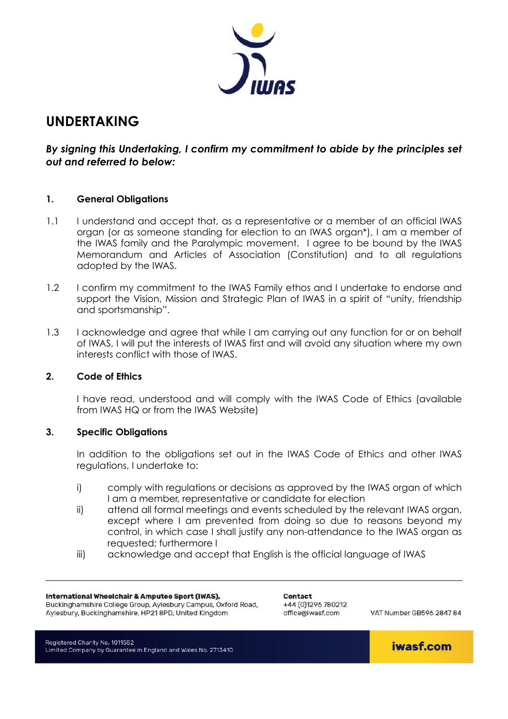

# **UNDERTAKING**

*By signing this Undertaking, I confirm my commitment to abide by the principles set out and referred to below:* 

## **1. General Obligations**

- 1.1 I understand and accept that, as a representative or a member of an official IWAS organ (or as someone standing for election to an IWAS organ\*), I am a member of the IWAS family and the Paralympic movement. I agree to be bound by the IWAS Memorandum and Articles of Association (Constitution) and to all regulations adopted by the IWAS.
- 1.2 I confirm my commitment to the IWAS Family ethos and I undertake to endorse and support the Vision, Mission and Strategic Plan of IWAS in a spirit of "unity, friendship and sportsmanship".
- 1.3 I acknowledge and agree that while I am carrying out any function for or on behalf of IWAS, I will put the interests of IWAS first and will avoid any situation where my own interests conflict with those of IWAS.

## **2. Code of Ethics**

 I have read, understood and will comply with the IWAS Code of Ethics (available from IWAS HQ or from the IWAS Website)

## **3. Specific Obligations**

 In addition to the obligations set out in the IWAS Code of Ethics and other IWAS regulations, I undertake to:

- i) comply with regulations or decisions as approved by the IWAS organ of which I am a member, representative or candidate for election
- ii) attend all formal meetings and events scheduled by the relevant IWAS organ, except where I am prevented from doing so due to reasons beyond my control, in which case I shall justify any non-attendance to the IWAS organ as requested; furthermore I
- iii) acknowledge and accept that English is the official language of IWAS

#### International Wheelchair & Amputee Sport (IWAS),

Buckinghamshire College Group, Aylesbury Campus, Oxford Road, Aylesbury, Buckinghamshire, HP21 8PD, United Kingdom

Contact +44 (0)1296 780212 office@iwasf.com

VAT Number GR596 2847 84

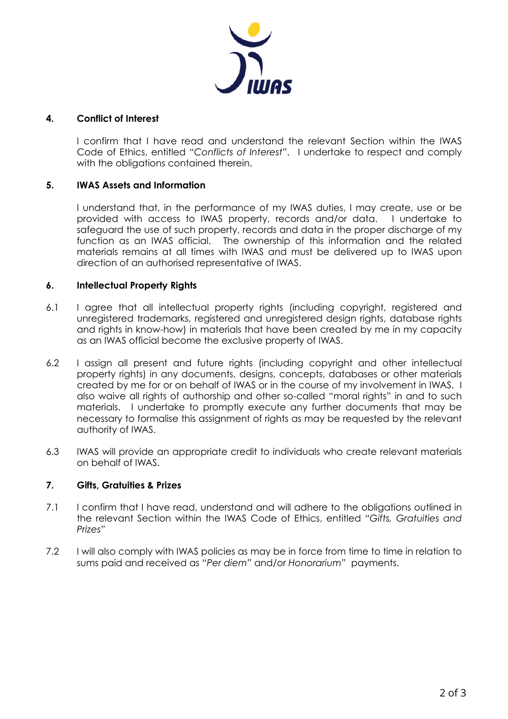

# **4. Conflict of Interest**

I confirm that I have read and understand the relevant Section within the IWAS Code of Ethics, entitled *"Conflicts of Interest"*. I undertake to respect and comply with the obligations contained therein.

# **5. IWAS Assets and Information**

I understand that, in the performance of my IWAS duties, I may create, use or be provided with access to IWAS property, records and/or data. I undertake to safeguard the use of such property, records and data in the proper discharge of my function as an IWAS official. The ownership of this information and the related materials remains at all times with IWAS and must be delivered up to IWAS upon direction of an authorised representative of IWAS.

# **6. Intellectual Property Rights**

- 6.1 I agree that all intellectual property rights (including copyright, registered and unregistered trademarks, registered and unregistered design rights, database rights and rights in know-how) in materials that have been created by me in my capacity as an IWAS official become the exclusive property of IWAS.
- 6.2 I assign all present and future rights (including copyright and other intellectual property rights) in any documents, designs, concepts, databases or other materials created by me for or on behalf of IWAS or in the course of my involvement in IWAS. I also waive all rights of authorship and other so-called "moral rights" in and to such materials. I undertake to promptly execute any further documents that may be necessary to formalise this assignment of rights as may be requested by the relevant authority of IWAS.
- 6.3 IWAS will provide an appropriate credit to individuals who create relevant materials on behalf of IWAS.

## **7. Gifts, Gratuities & Prizes**

- 7.1 I confirm that I have read, understand and will adhere to the obligations outlined in the relevant Section within the IWAS Code of Ethics, entitled *"Gifts, Gratuities and Prizes"*
- 7.2 I will also comply with IWAS policies as may be in force from time to time in relation to sums paid and received as "*Per diem"* and/or *Honorarium"* payments.